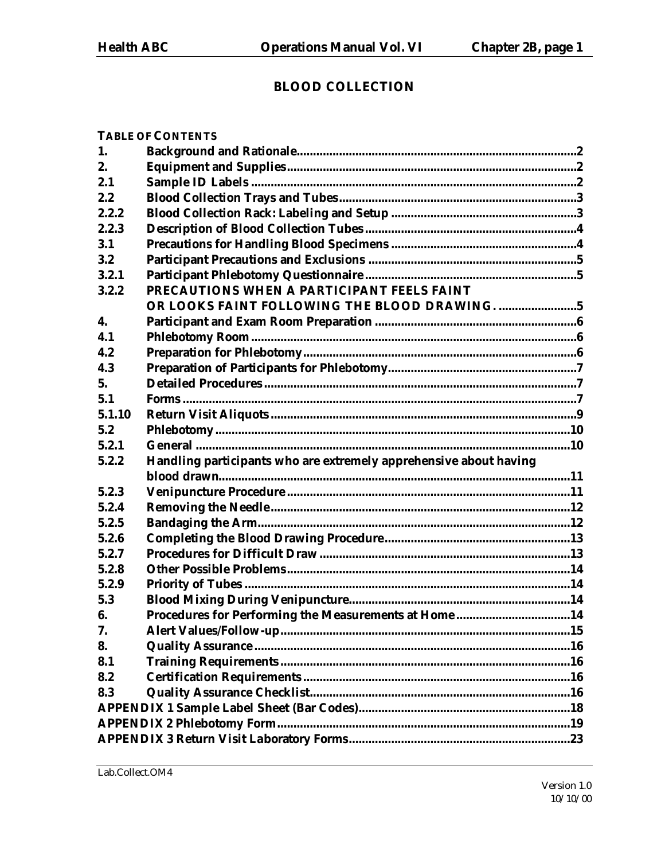# **BLOOD COLLECTION**

| 2.<br>2.1<br>2.2<br>2.2.2<br>2.2.3<br>3.1<br>3.2<br>3.2.1<br>PRECAUTIONS WHEN A PARTICIPANT FEELS FAINT<br>3.2.2<br>OR LOOKS FAINT FOLLOWING THE BLOOD DRAWING. 5<br>4.<br>4.1<br>4.2<br>4.3<br>5 <sub>1</sub><br>5.1<br>5.1.10<br>5.2<br>5.2.1<br>Handling participants who are extremely apprehensive about having<br>5.2.2<br>5.2.3<br>5.2.4<br>5.2.5<br>5.2.6<br>5.2.7<br>5.2.8<br>5.2.9<br>5.3<br>Procedures for Performing the Measurements at Home14<br>6.<br>7.<br>8.<br>8.1<br>8.2<br>8.3 | 1. |  |
|----------------------------------------------------------------------------------------------------------------------------------------------------------------------------------------------------------------------------------------------------------------------------------------------------------------------------------------------------------------------------------------------------------------------------------------------------------------------------------------------------|----|--|
|                                                                                                                                                                                                                                                                                                                                                                                                                                                                                                    |    |  |
|                                                                                                                                                                                                                                                                                                                                                                                                                                                                                                    |    |  |
|                                                                                                                                                                                                                                                                                                                                                                                                                                                                                                    |    |  |
|                                                                                                                                                                                                                                                                                                                                                                                                                                                                                                    |    |  |
|                                                                                                                                                                                                                                                                                                                                                                                                                                                                                                    |    |  |
|                                                                                                                                                                                                                                                                                                                                                                                                                                                                                                    |    |  |
|                                                                                                                                                                                                                                                                                                                                                                                                                                                                                                    |    |  |
|                                                                                                                                                                                                                                                                                                                                                                                                                                                                                                    |    |  |
|                                                                                                                                                                                                                                                                                                                                                                                                                                                                                                    |    |  |
|                                                                                                                                                                                                                                                                                                                                                                                                                                                                                                    |    |  |
|                                                                                                                                                                                                                                                                                                                                                                                                                                                                                                    |    |  |
|                                                                                                                                                                                                                                                                                                                                                                                                                                                                                                    |    |  |
|                                                                                                                                                                                                                                                                                                                                                                                                                                                                                                    |    |  |
|                                                                                                                                                                                                                                                                                                                                                                                                                                                                                                    |    |  |
|                                                                                                                                                                                                                                                                                                                                                                                                                                                                                                    |    |  |
|                                                                                                                                                                                                                                                                                                                                                                                                                                                                                                    |    |  |
|                                                                                                                                                                                                                                                                                                                                                                                                                                                                                                    |    |  |
|                                                                                                                                                                                                                                                                                                                                                                                                                                                                                                    |    |  |
|                                                                                                                                                                                                                                                                                                                                                                                                                                                                                                    |    |  |
|                                                                                                                                                                                                                                                                                                                                                                                                                                                                                                    |    |  |
|                                                                                                                                                                                                                                                                                                                                                                                                                                                                                                    |    |  |
|                                                                                                                                                                                                                                                                                                                                                                                                                                                                                                    |    |  |
|                                                                                                                                                                                                                                                                                                                                                                                                                                                                                                    |    |  |
|                                                                                                                                                                                                                                                                                                                                                                                                                                                                                                    |    |  |
|                                                                                                                                                                                                                                                                                                                                                                                                                                                                                                    |    |  |
|                                                                                                                                                                                                                                                                                                                                                                                                                                                                                                    |    |  |
|                                                                                                                                                                                                                                                                                                                                                                                                                                                                                                    |    |  |
|                                                                                                                                                                                                                                                                                                                                                                                                                                                                                                    |    |  |
|                                                                                                                                                                                                                                                                                                                                                                                                                                                                                                    |    |  |
|                                                                                                                                                                                                                                                                                                                                                                                                                                                                                                    |    |  |
|                                                                                                                                                                                                                                                                                                                                                                                                                                                                                                    |    |  |
|                                                                                                                                                                                                                                                                                                                                                                                                                                                                                                    |    |  |
|                                                                                                                                                                                                                                                                                                                                                                                                                                                                                                    |    |  |
|                                                                                                                                                                                                                                                                                                                                                                                                                                                                                                    |    |  |
|                                                                                                                                                                                                                                                                                                                                                                                                                                                                                                    |    |  |
|                                                                                                                                                                                                                                                                                                                                                                                                                                                                                                    |    |  |
|                                                                                                                                                                                                                                                                                                                                                                                                                                                                                                    |    |  |
|                                                                                                                                                                                                                                                                                                                                                                                                                                                                                                    |    |  |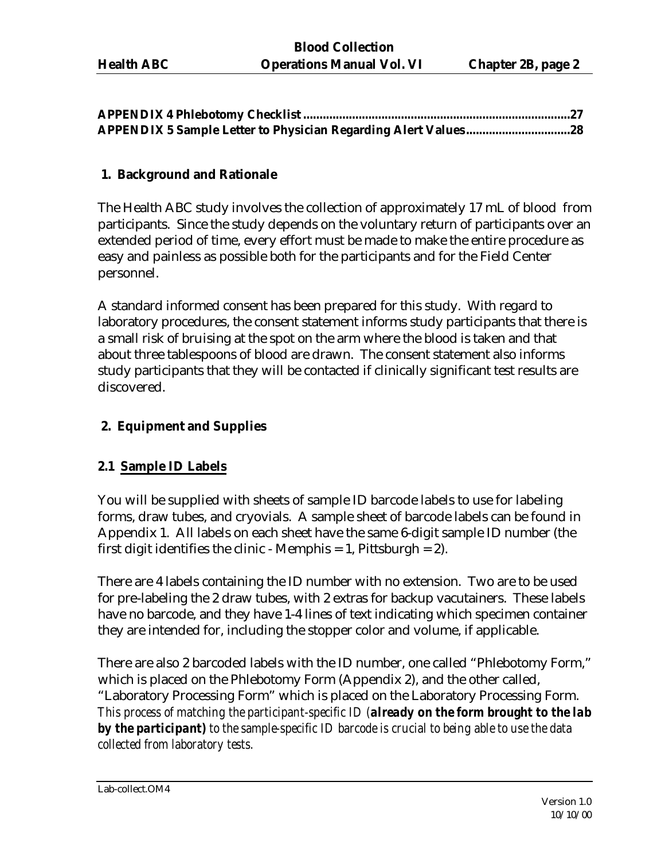### **1. Background and Rationale**

The Health ABC study involves the collection of approximately 17 mL of blood from participants. Since the study depends on the voluntary return of participants over an extended period of time, every effort must be made to make the entire procedure as easy and painless as possible both for the participants and for the Field Center personnel.

A standard informed consent has been prepared for this study. With regard to laboratory procedures, the consent statement informs study participants that there is a small risk of bruising at the spot on the arm where the blood is taken and that about three tablespoons of blood are drawn. The consent statement also informs study participants that they will be contacted if clinically significant test results are discovered.

### **2. Equipment and Supplies**

### **2.1 Sample ID Labels**

You will be supplied with sheets of sample ID barcode labels to use for labeling forms, draw tubes, and cryovials. A sample sheet of barcode labels can be found in Appendix 1. All labels on each sheet have the same 6-digit sample ID number (the first digit identifies the clinic - Memphis  $= 1$ , Pittsburgh  $= 2$ ).

There are 4 labels containing the ID number with no extension. Two are to be used for pre-labeling the 2 draw tubes, with 2 extras for backup vacutainers. These labels have no barcode, and they have 1-4 lines of text indicating which specimen container they are intended for, including the stopper color and volume, if applicable.

There are also 2 barcoded labels with the ID number, one called "Phlebotomy Form," which is placed on the Phlebotomy Form (Appendix 2), and the other called, "Laboratory Processing Form" which is placed on the Laboratory Processing Form. *This process of matching the participant-specific ID (already on the form brought to the lab by the participant) to the sample-specific ID barcode is crucial to being able to use the data collected from laboratory tests.*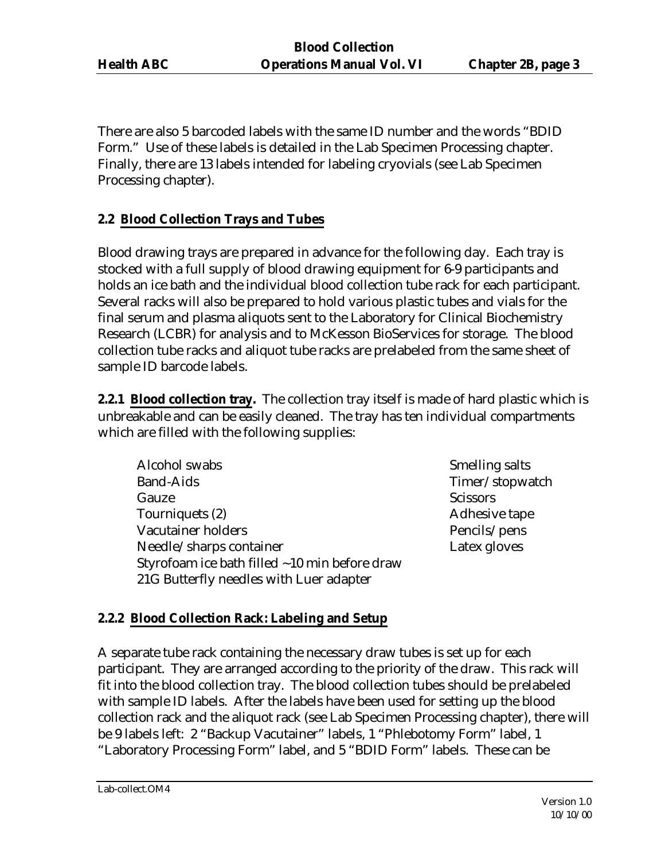There are also 5 barcoded labels with the same ID number and the words "BDID Form." Use of these labels is detailed in the Lab Specimen Processing chapter. Finally, there are 13 labels intended for labeling cryovials (see Lab Specimen Processing chapter).

## **2.2 Blood Collection Trays and Tubes**

Blood drawing trays are prepared in advance for the following day. Each tray is stocked with a full supply of blood drawing equipment for 6-9 participants and holds an ice bath and the individual blood collection tube rack for each participant. Several racks will also be prepared to hold various plastic tubes and vials for the final serum and plasma aliquots sent to the Laboratory for Clinical Biochemistry Research (LCBR) for analysis and to McKesson BioServices for storage. The blood collection tube racks and aliquot tube racks are prelabeled from the same sheet of sample ID barcode labels.

**2.2.1 Blood collection tray.** The collection tray itself is made of hard plastic which is unbreakable and can be easily cleaned. The tray has ten individual compartments which are filled with the following supplies:

- Alcohol swabs Smelling salts Band-Aids Timer/stopwatch Gauze Scissors Tourniquets (2) and a set of the Adhesive tape Adhesive tape Vacutainer holders **Pencils**/pens Needle/sharps container Latex gloves Styrofoam ice bath filled ~10 min before draw 21G Butterfly needles with Luer adapter
	-

### **2.2.2 Blood Collection Rack: Labeling and Setup**

A separate tube rack containing the necessary draw tubes is set up for each participant. They are arranged according to the priority of the draw. This rack will fit into the blood collection tray. The blood collection tubes should be prelabeled with sample ID labels. After the labels have been used for setting up the blood collection rack and the aliquot rack (see Lab Specimen Processing chapter), there will be 9 labels left: 2 "Backup Vacutainer" labels, 1 "Phlebotomy Form" label, 1 "Laboratory Processing Form" label, and 5 "BDID Form" labels. These can be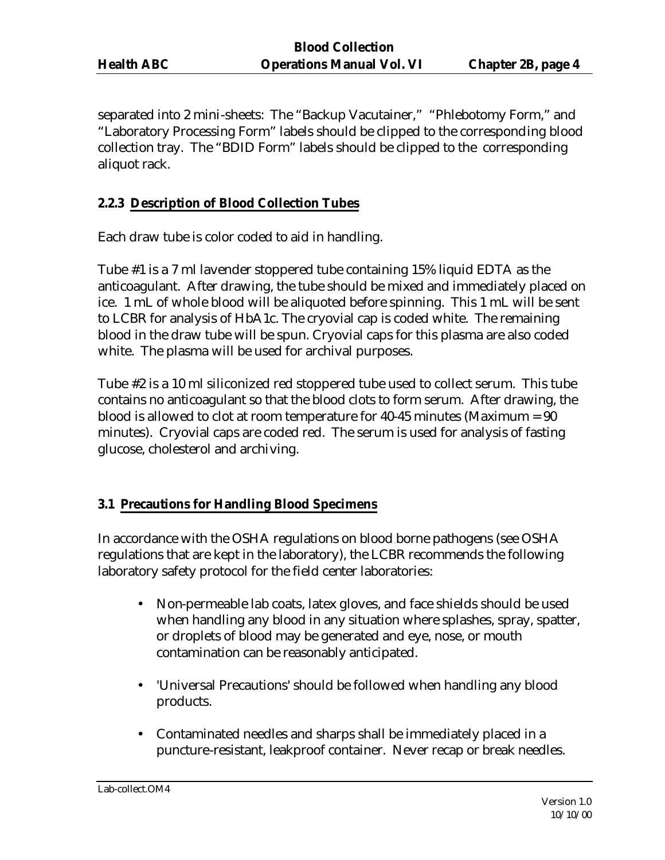separated into 2 mini-sheets: The "Backup Vacutainer," "Phlebotomy Form," and "Laboratory Processing Form" labels should be clipped to the corresponding blood collection tray. The "BDID Form" labels should be clipped to the corresponding aliquot rack.

### **2.2.3 Description of Blood Collection Tubes**

Each draw tube is color coded to aid in handling.

Tube #1 is a 7 ml lavender stoppered tube containing 15% liquid EDTA as the anticoagulant. After drawing, the tube should be mixed and immediately placed on ice. 1 mL of whole blood will be aliquoted before spinning. This 1 mL will be sent to LCBR for analysis of HbA1c. The cryovial cap is coded white. The remaining blood in the draw tube will be spun. Cryovial caps for this plasma are also coded white. The plasma will be used for archival purposes.

Tube #2 is a 10 ml siliconized red stoppered tube used to collect serum. This tube contains no anticoagulant so that the blood clots to form serum. After drawing, the blood is allowed to clot at room temperature for 40-45 minutes (Maximum = 90 minutes). Cryovial caps are coded red. The serum is used for analysis of fasting glucose, cholesterol and archiving.

### **3.1 Precautions for Handling Blood Specimens**

In accordance with the OSHA regulations on blood borne pathogens (see OSHA regulations that are kept in the laboratory), the LCBR recommends the following laboratory safety protocol for the field center laboratories:

- Non-permeable lab coats, latex gloves, and face shields should be used when handling any blood in any situation where splashes, spray, spatter, or droplets of blood may be generated and eye, nose, or mouth contamination can be reasonably anticipated.
- 'Universal Precautions' should be followed when handling any blood products.
- Contaminated needles and sharps shall be immediately placed in a puncture-resistant, leakproof container. Never recap or break needles.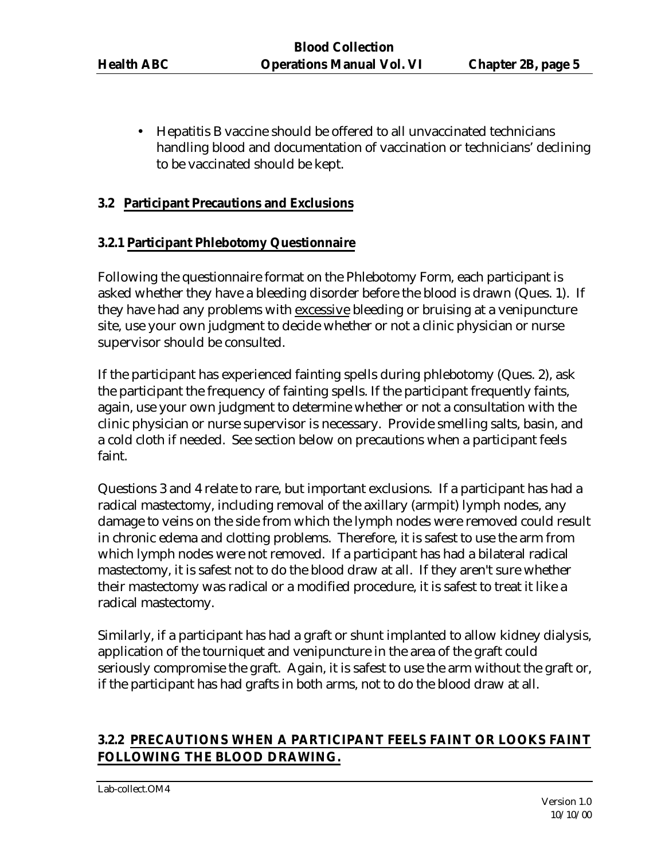• Hepatitis B vaccine should be offered to all unvaccinated technicians handling blood and documentation of vaccination or technicians' declining to be vaccinated should be kept.

### **3.2 Participant Precautions and Exclusions**

### **3.2.1 Participant Phlebotomy Questionnaire**

Following the questionnaire format on the Phlebotomy Form, each participant is asked whether they have a bleeding disorder before the blood is drawn (Ques. 1). If they have had any problems with excessive bleeding or bruising at a venipuncture site, use your own judgment to decide whether or not a clinic physician or nurse supervisor should be consulted.

If the participant has experienced fainting spells during phlebotomy (Ques. 2), ask the participant the frequency of fainting spells. If the participant frequently faints, again, use your own judgment to determine whether or not a consultation with the clinic physician or nurse supervisor is necessary. Provide smelling salts, basin, and a cold cloth if needed. See section below on precautions when a participant feels faint.

Questions 3 and 4 relate to rare, but important exclusions. If a participant has had a radical mastectomy, including removal of the axillary (armpit) lymph nodes, any damage to veins on the side from which the lymph nodes were removed could result in chronic edema and clotting problems. Therefore, it is safest to use the arm from which lymph nodes were not removed. If a participant has had a bilateral radical mastectomy, it is safest not to do the blood draw at all. If they aren't sure whether their mastectomy was radical or a modified procedure, it is safest to treat it like a radical mastectomy.

Similarly, if a participant has had a graft or shunt implanted to allow kidney dialysis, application of the tourniquet and venipuncture in the area of the graft could seriously compromise the graft. Again, it is safest to use the arm without the graft or, if the participant has had grafts in both arms, not to do the blood draw at all.

## **3.2.2 PRECAUTIONS WHEN A PARTICIPANT FEELS FAINT OR LOOKS FAINT FOLLOWING THE BLOOD DRAWING.**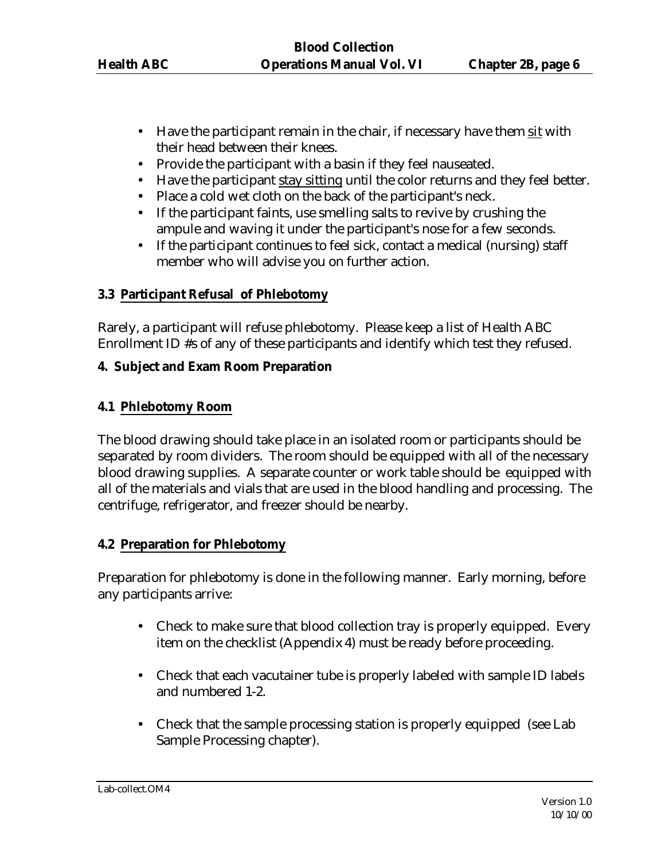- Have the participant remain in the chair, if necessary have them sit with their head between their knees.
- Provide the participant with a basin if they feel nauseated.
- Have the participant stay sitting until the color returns and they feel better.
- Place a cold wet cloth on the back of the participant's neck.
- If the participant faints, use smelling salts to revive by crushing the ampule and waving it under the participant's nose for a few seconds.
- If the participant continues to feel sick, contact a medical (nursing) staff member who will advise you on further action.

### **3.3 Participant Refusal of Phlebotomy**

Rarely, a participant will refuse phlebotomy. Please keep a list of Health ABC Enrollment ID #s of any of these participants and identify which test they refused.

### **4. Subject and Exam Room Preparation**

## **4.1 Phlebotomy Room**

The blood drawing should take place in an isolated room or participants should be separated by room dividers. The room should be equipped with all of the necessary blood drawing supplies. A separate counter or work table should be equipped with all of the materials and vials that are used in the blood handling and processing. The centrifuge, refrigerator, and freezer should be nearby.

### **4.2 Preparation for Phlebotomy**

Preparation for phlebotomy is done in the following manner. Early morning, before any participants arrive:

- Check to make sure that blood collection tray is properly equipped. Every item on the checklist (Appendix 4) must be ready before proceeding.
- Check that each vacutainer tube is properly labeled with sample ID labels and numbered 1-2.
- Check that the sample processing station is properly equipped (see Lab) Sample Processing chapter).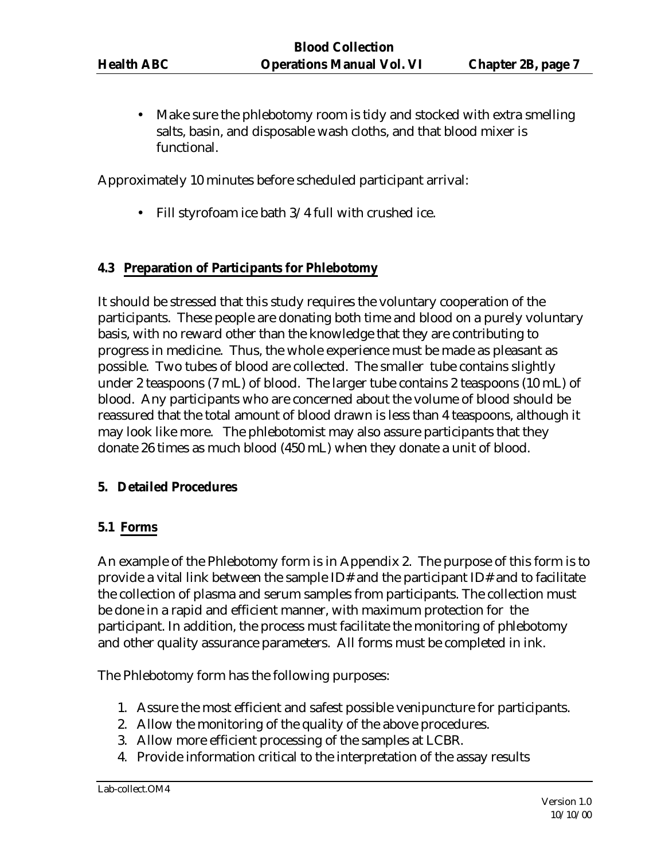Make sure the phlebotomy room is tidy and stocked with extra smelling salts, basin, and disposable wash cloths, and that blood mixer is functional.

Approximately 10 minutes before scheduled participant arrival:

• Fill styrofoam ice bath 3/4 full with crushed ice.

### **4.3 Preparation of Participants for Phlebotomy**

It should be stressed that this study requires the voluntary cooperation of the participants. These people are donating both time and blood on a purely voluntary basis, with no reward other than the knowledge that they are contributing to progress in medicine. Thus, the whole experience must be made as pleasant as possible. Two tubes of blood are collected. The smaller tube contains slightly under 2 teaspoons (7 mL) of blood. The larger tube contains 2 teaspoons (10 mL) of blood. Any participants who are concerned about the volume of blood should be reassured that the total amount of blood drawn is less than 4 teaspoons, although it may look like more. The phlebotomist may also assure participants that they donate 26 times as much blood (450 mL) when they donate a unit of blood.

#### **5. Detailed Procedures**

#### **5.1 Forms**

An example of the Phlebotomy form is in Appendix 2. The purpose of this form is to provide a vital link between the sample ID# and the participant ID# and to facilitate the collection of plasma and serum samples from participants. The collection must be done in a rapid and efficient manner, with maximum protection for the participant. In addition, the process must facilitate the monitoring of phlebotomy and other quality assurance parameters. All forms must be completed in ink.

The Phlebotomy form has the following purposes:

- 1. Assure the most efficient and safest possible venipuncture for participants.
- 2. Allow the monitoring of the quality of the above procedures.
- 3. Allow more efficient processing of the samples at LCBR.
- 4. Provide information critical to the interpretation of the assay results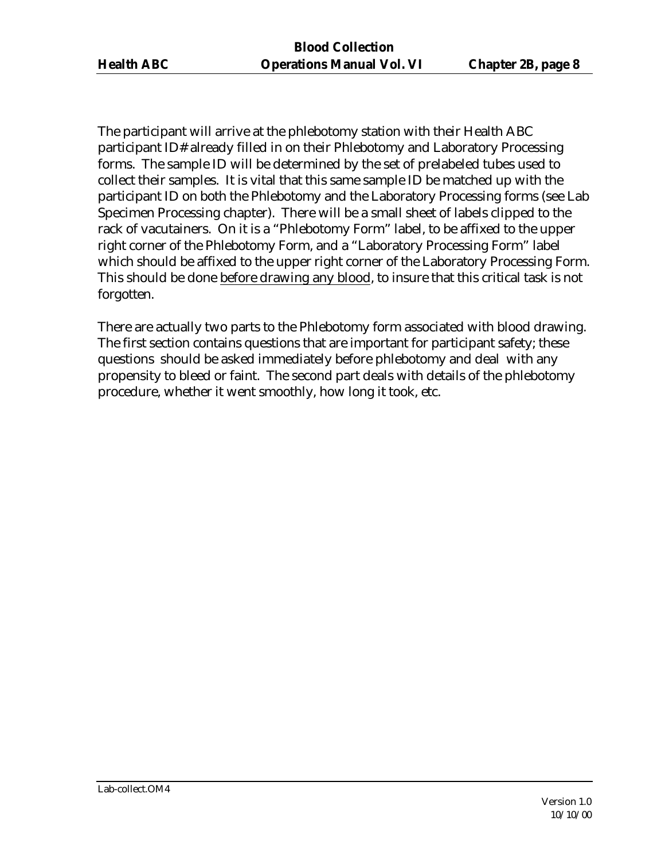The participant will arrive at the phlebotomy station with their Health ABC participant ID# already filled in on their Phlebotomy and Laboratory Processing forms. The sample ID will be determined by the set of prelabeled tubes used to collect their samples. It is vital that this same sample ID be matched up with the participant ID on both the Phlebotomy and the Laboratory Processing forms (see Lab Specimen Processing chapter). There will be a small sheet of labels clipped to the rack of vacutainers. On it is a "Phlebotomy Form" label, to be affixed to the upper right corner of the Phlebotomy Form, and a "Laboratory Processing Form" label which should be affixed to the upper right corner of the Laboratory Processing Form. This should be done before drawing any blood, to insure that this critical task is not forgotten.

There are actually two parts to the Phlebotomy form associated with blood drawing. The first section contains questions that are important for participant safety; these questions should be asked immediately before phlebotomy and deal with any propensity to bleed or faint. The second part deals with details of the phlebotomy procedure, whether it went smoothly, how long it took, etc.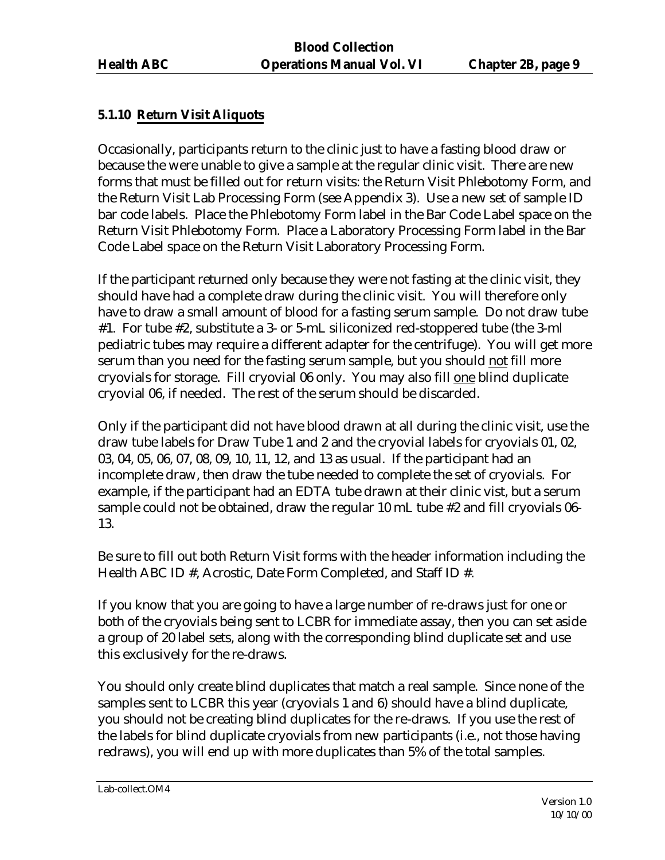## **5.1.10 Return Visit Aliquots**

Occasionally, participants return to the clinic just to have a fasting blood draw or because the were unable to give a sample at the regular clinic visit. There are new forms that must be filled out for return visits: the Return Visit Phlebotomy Form, and the Return Visit Lab Processing Form (see Appendix 3). Use a new set of sample ID bar code labels. Place the Phlebotomy Form label in the Bar Code Label space on the Return Visit Phlebotomy Form. Place a Laboratory Processing Form label in the Bar Code Label space on the Return Visit Laboratory Processing Form.

If the participant returned only because they were not fasting at the clinic visit, they should have had a complete draw during the clinic visit. You will therefore only have to draw a small amount of blood for a fasting serum sample. Do not draw tube #1. For tube #2, substitute a 3- or 5-mL siliconized red-stoppered tube (the 3-ml pediatric tubes may require a different adapter for the centrifuge). You will get more serum than you need for the fasting serum sample, but you should not fill more cryovials for storage. Fill cryovial 06 only. You may also fill one blind duplicate cryovial 06, if needed. The rest of the serum should be discarded.

Only if the participant did not have blood drawn at all during the clinic visit, use the draw tube labels for Draw Tube 1 and 2 and the cryovial labels for cryovials 01, 02, 03, 04, 05, 06, 07, 08, 09, 10, 11, 12, and 13 as usual. If the participant had an incomplete draw, then draw the tube needed to complete the set of cryovials. For example, if the participant had an EDTA tube drawn at their clinic vist, but a serum sample could not be obtained, draw the regular 10 mL tube #2 and fill cryovials 06- 13.

Be sure to fill out both Return Visit forms with the header information including the Health ABC ID #, Acrostic, Date Form Completed, and Staff ID #.

If you know that you are going to have a large number of re-draws just for one or both of the cryovials being sent to LCBR for immediate assay, then you can set aside a group of 20 label sets, along with the corresponding blind duplicate set and use this exclusively for the re-draws.

You should only create blind duplicates that match a real sample. Since none of the samples sent to LCBR this year (cryovials 1 and 6) should have a blind duplicate, you should not be creating blind duplicates for the re-draws. If you use the rest of the labels for blind duplicate cryovials from new participants (i.e., not those having redraws), you will end up with more duplicates than 5% of the total samples.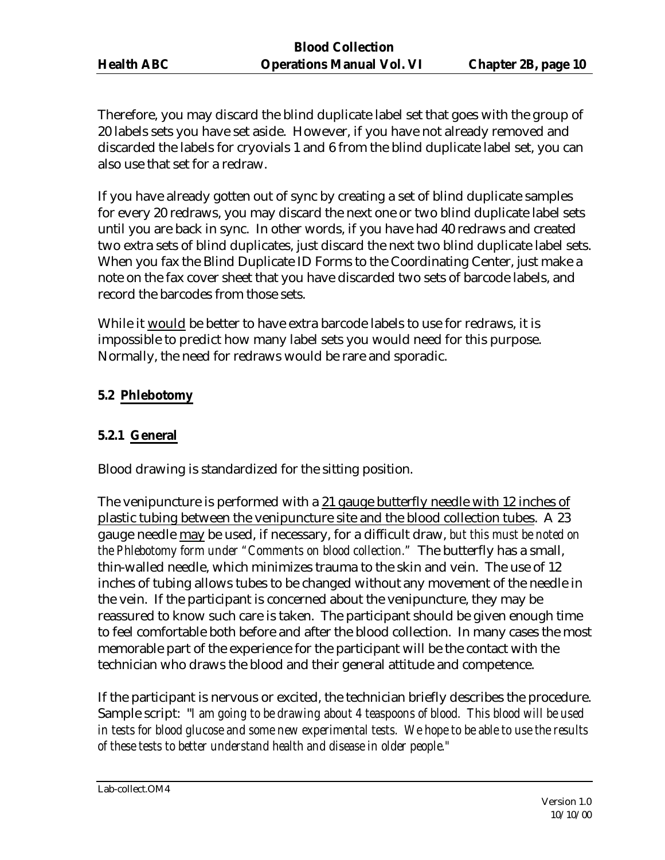Therefore, you may discard the blind duplicate label set that goes with the group of 20 labels sets you have set aside. However, if you have not already removed and discarded the labels for cryovials 1 and 6 from the blind duplicate label set, you can also use that set for a redraw.

If you have already gotten out of sync by creating a set of blind duplicate samples for every 20 redraws, you may discard the next one or two blind duplicate label sets until you are back in sync. In other words, if you have had 40 redraws and created two extra sets of blind duplicates, just discard the next two blind duplicate label sets. When you fax the Blind Duplicate ID Forms to the Coordinating Center, just make a note on the fax cover sheet that you have discarded two sets of barcode labels, and record the barcodes from those sets.

While it would be better to have extra barcode labels to use for redraws, it is impossible to predict how many label sets you would need for this purpose. Normally, the need for redraws would be rare and sporadic.

## **5.2 Phlebotomy**

## **5.2.1 General**

Blood drawing is standardized for the sitting position.

The venipuncture is performed with a 21 gauge butterfly needle with 12 inches of plastic tubing between the venipuncture site and the blood collection tubes. A 23 gauge needle may be used, if necessary, for a difficult draw, *but this must be noted on the Phlebotomy form under "Comments on blood collection."* The butterfly has a small, thin-walled needle, which minimizes trauma to the skin and vein. The use of 12 inches of tubing allows tubes to be changed without any movement of the needle in the vein. If the participant is concerned about the venipuncture, they may be reassured to know such care is taken. The participant should be given enough time to feel comfortable both before and after the blood collection. In many cases the most memorable part of the experience for the participant will be the contact with the technician who draws the blood and their general attitude and competence.

If the participant is nervous or excited, the technician briefly describes the procedure. Sample script: "*I am going to be drawing about 4 teaspoons of blood. This blood will be used in tests for blood glucose and some new experimental tests. We hope to be able to use the results of these tests to better understand health and disease in older people."*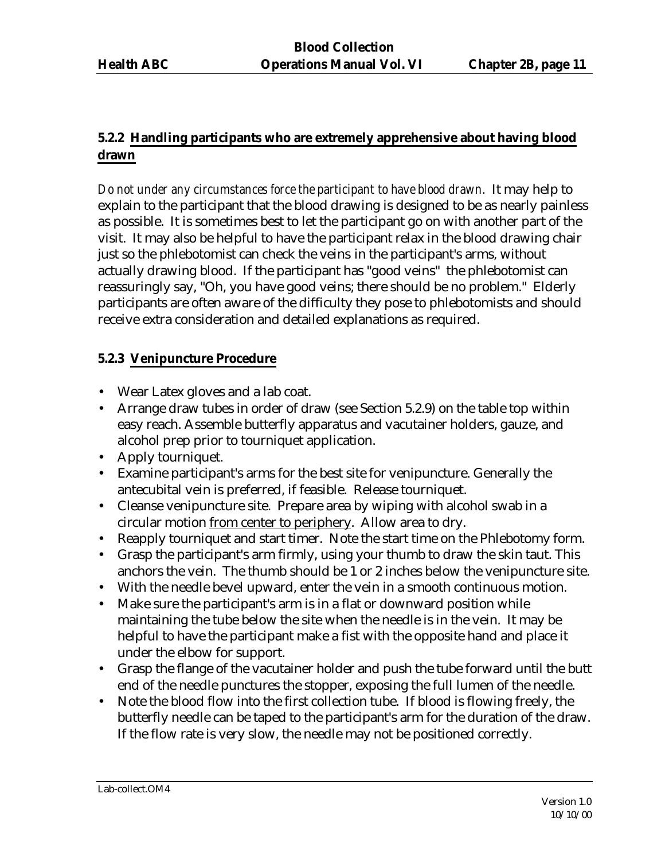## **5.2.2 Handling participants who are extremely apprehensive about having blood drawn**

*Do not under any circumstances force the participant to have blood drawn.* It may help to explain to the participant that the blood drawing is designed to be as nearly painless as possible. It is sometimes best to let the participant go on with another part of the visit. It may also be helpful to have the participant relax in the blood drawing chair just so the phlebotomist can check the veins in the participant's arms, without actually drawing blood. If the participant has "good veins" the phlebotomist can reassuringly say, "Oh, you have good veins; there should be no problem." Elderly participants are often aware of the difficulty they pose to phlebotomists and should receive extra consideration and detailed explanations as required.

## **5.2.3 Venipuncture Procedure**

- Wear Latex gloves and a lab coat.
- Arrange draw tubes in order of draw (see Section 5.2.9) on the table top within easy reach. Assemble butterfly apparatus and vacutainer holders, gauze, and alcohol prep prior to tourniquet application.
- Apply tourniquet.
- Examine participant's arms for the best site for venipuncture. Generally the antecubital vein is preferred, if feasible. Release tourniquet.
- Cleanse venipuncture site. Prepare area by wiping with alcohol swab in a circular motion from center to periphery. Allow area to dry.
- Reapply tourniquet and start timer. Note the start time on the Phlebotomy form.
- Grasp the participant's arm firmly, using your thumb to draw the skin taut. This anchors the vein. The thumb should be 1 or 2 inches below the venipuncture site.
- With the needle bevel upward, enter the vein in a smooth continuous motion.
- Make sure the participant's arm is in a flat or downward position while maintaining the tube below the site when the needle is in the vein. It may be helpful to have the participant make a fist with the opposite hand and place it under the elbow for support.
- Grasp the flange of the vacutainer holder and push the tube forward until the butt end of the needle punctures the stopper, exposing the full lumen of the needle.
- Note the blood flow into the first collection tube. If blood is flowing freely, the butterfly needle can be taped to the participant's arm for the duration of the draw. If the flow rate is very slow, the needle may not be positioned correctly.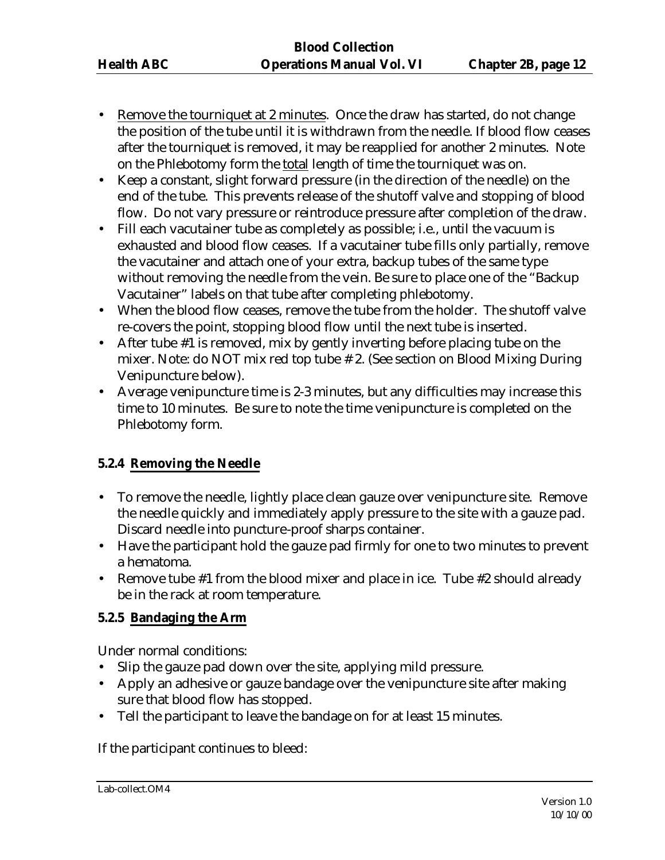- Remove the tourniquet at 2 minutes. Once the draw has started, do not change the position of the tube until it is withdrawn from the needle. If blood flow ceases after the tourniquet is removed, it may be reapplied for another 2 minutes. Note on the Phlebotomy form the total length of time the tourniquet was on.
- Keep a constant, slight forward pressure (in the direction of the needle) on the end of the tube. This prevents release of the shutoff valve and stopping of blood flow. Do not vary pressure or reintroduce pressure after completion of the draw.
- Fill each vacutainer tube as completely as possible; i.e., until the vacuum is exhausted and blood flow ceases. If a vacutainer tube fills only partially, remove the vacutainer and attach one of your extra, backup tubes of the same type without removing the needle from the vein. Be sure to place one of the "Backup Vacutainer" labels on that tube after completing phlebotomy.
- When the blood flow ceases, remove the tube from the holder. The shutoff valve re-covers the point, stopping blood flow until the next tube is inserted.
- After tube #1 is removed, mix by gently inverting before placing tube on the mixer. Note: do NOT mix red top tube # 2. (See section on Blood Mixing During Venipuncture below).
- Average venipuncture time is 2-3 minutes, but any difficulties may increase this time to 10 minutes. Be sure to note the time venipuncture is completed on the Phlebotomy form.

## **5.2.4 Removing the Needle**

- To remove the needle, lightly place clean gauze over venipuncture site. Remove the needle quickly and immediately apply pressure to the site with a gauze pad. Discard needle into puncture-proof sharps container.
- Have the participant hold the gauze pad firmly for one to two minutes to prevent a hematoma.
- Remove tube #1 from the blood mixer and place in ice. Tube #2 should already be in the rack at room temperature.

## **5.2.5 Bandaging the Arm**

Under normal conditions:

- Slip the gauze pad down over the site, applying mild pressure.
- Apply an adhesive or gauze bandage over the venipuncture site after making sure that blood flow has stopped.
- Tell the participant to leave the bandage on for at least 15 minutes.

If the participant continues to bleed: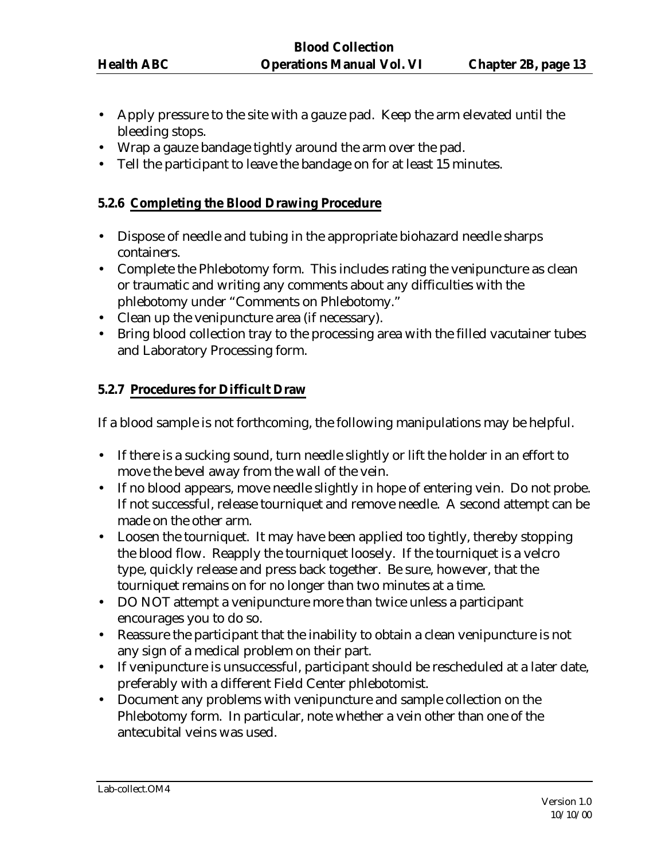- Apply pressure to the site with a gauze pad. Keep the arm elevated until the bleeding stops.
- Wrap a gauze bandage tightly around the arm over the pad.
- Tell the participant to leave the bandage on for at least 15 minutes.

### **5.2.6 Completing the Blood Drawing Procedure**

- Dispose of needle and tubing in the appropriate biohazard needle sharps containers.
- Complete the Phlebotomy form. This includes rating the venipuncture as clean or traumatic and writing any comments about any difficulties with the phlebotomy under "Comments on Phlebotomy."
- Clean up the venipuncture area (if necessary).
- Bring blood collection tray to the processing area with the filled vacutainer tubes and Laboratory Processing form.

### **5.2.7 Procedures for Difficult Draw**

If a blood sample is not forthcoming, the following manipulations may be helpful.

- If there is a sucking sound, turn needle slightly or lift the holder in an effort to move the bevel away from the wall of the vein.
- If no blood appears, move needle slightly in hope of entering vein. Do not probe. If not successful, release tourniquet and remove needle. A second attempt can be made on the other arm.
- Loosen the tourniquet. It may have been applied too tightly, thereby stopping the blood flow. Reapply the tourniquet loosely. If the tourniquet is a velcro type, quickly release and press back together. Be sure, however, that the tourniquet remains on for no longer than two minutes at a time.
- DO NOT attempt a venipuncture more than twice unless a participant encourages you to do so.
- Reassure the participant that the inability to obtain a clean venipuncture is not any sign of a medical problem on their part.
- If venipuncture is unsuccessful, participant should be rescheduled at a later date, preferably with a different Field Center phlebotomist.
- Document any problems with venipuncture and sample collection on the Phlebotomy form. In particular, note whether a vein other than one of the antecubital veins was used.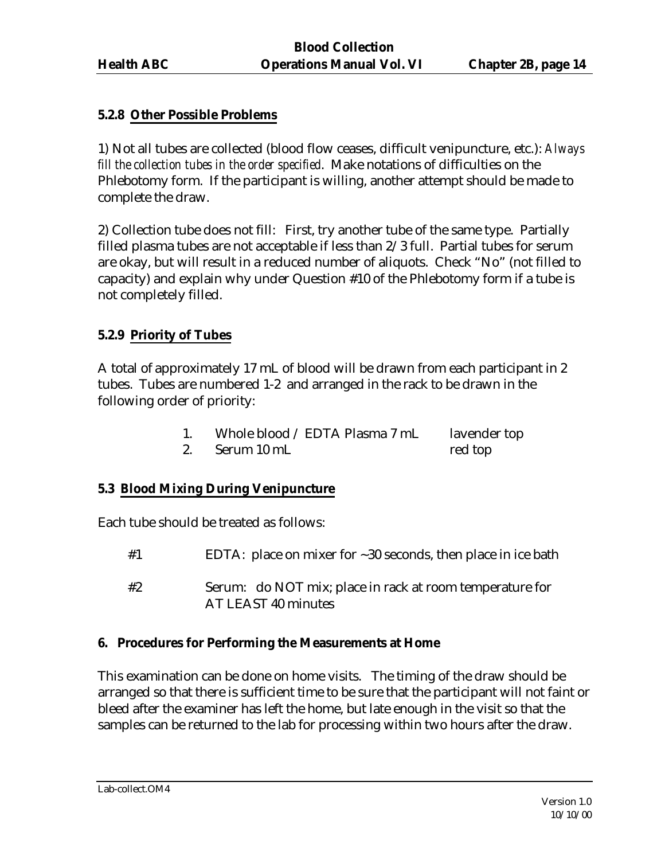### **5.2.8 Other Possible Problems**

1) Not all tubes are collected (blood flow ceases, difficult venipuncture, etc.): *Always fill the collection tubes in the order specified*. Make notations of difficulties on the Phlebotomy form. If the participant is willing, another attempt should be made to complete the draw.

2) Collection tube does not fill: First, try another tube of the same type. Partially filled plasma tubes are not acceptable if less than 2/3 full. Partial tubes for serum are okay, but will result in a reduced number of aliquots. Check "No" (not filled to capacity) and explain why under Question #10 of the Phlebotomy form if a tube is not completely filled.

### **5.2.9 Priority of Tubes**

A total of approximately 17 mL of blood will be drawn from each participant in 2 tubes. Tubes are numbered 1-2 and arranged in the rack to be drawn in the following order of priority:

| Whole blood / EDTA Plasma 7 mL | lavender top |
|--------------------------------|--------------|
| Serum 10 mL                    | red top      |

### **5.3 Blood Mixing During Venipuncture**

Each tube should be treated as follows:

- #1 EDTA: place on mixer for ~30 seconds, then place in ice bath
- #2 Serum: do NOT mix; place in rack at room temperature for AT LEAST 40 minutes

#### **6. Procedures for Performing the Measurements at Home**

This examination can be done on home visits. The timing of the draw should be arranged so that there is sufficient time to be sure that the participant will not faint or bleed after the examiner has left the home, but late enough in the visit so that the samples can be returned to the lab for processing within two hours after the draw.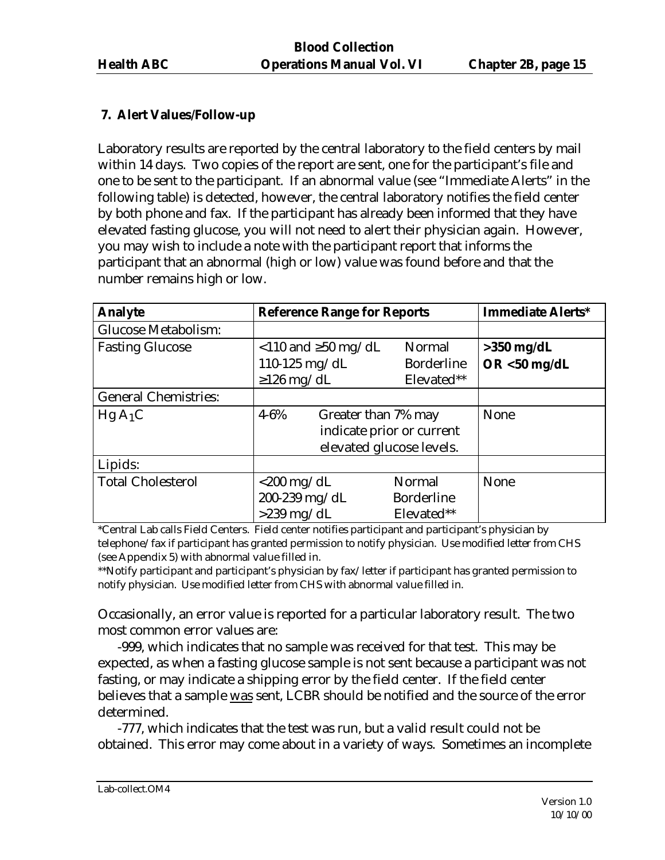## **7. Alert Values/Follow-up**

Laboratory results are reported by the central laboratory to the field centers by mail within 14 days. Two copies of the report are sent, one for the participant's file and one to be sent to the participant. If an abnormal value (see "Immediate Alerts" in the following table) is detected, however, the central laboratory notifies the field center by both phone and fax. If the participant has already been informed that they have elevated fasting glucose, you will not need to alert their physician again. However, you may wish to include a note with the participant report that informs the participant that an abnormal (high or low) value was found before and that the number remains high or low.

| <b>Analyte</b>              | <b>Reference Range for Reports</b>                                   |                                                       | <b>Immediate Alerts*</b> |
|-----------------------------|----------------------------------------------------------------------|-------------------------------------------------------|--------------------------|
| <b>Glucose Metabolism:</b>  |                                                                      |                                                       |                          |
| <b>Fasting Glucose</b>      | $\langle$ 110 and $\geq$ 50 mg/dL                                    | Normal                                                | $>350$ mg/dL             |
|                             | 110-125 mg/dL                                                        | <b>Borderline</b>                                     | $OR < 50$ mg/dL          |
|                             | $\geq$ 126 mg/dL                                                     | Elevated**                                            |                          |
| <b>General Chemistries:</b> |                                                                      |                                                       |                          |
| $HgA_1C$                    | $4 - 6\%$<br>Greater than 7% may                                     | indicate prior or current<br>elevated glucose levels. | <b>None</b>              |
| Lipids:                     |                                                                      |                                                       |                          |
| <b>Total Cholesterol</b>    | $\langle 200 \text{ mg/dL} \rangle$<br>200-239 mg/dL<br>$>239$ mg/dL | Normal<br><b>Borderline</b><br>Elevated**             | None                     |

\*Central Lab calls Field Centers. Field center notifies participant and participant's physician by telephone/fax if participant has granted permission to notify physician. Use modified letter from CHS (see Appendix 5) with abnormal value filled in.

\*\*Notify participant and participant's physician by fax/letter if participant has granted permission to notify physician. Use modified letter from CHS with abnormal value filled in.

Occasionally, an error value is reported for a particular laboratory result. The two most common error values are:

-999, which indicates that no sample was received for that test. This may be expected, as when a fasting glucose sample is not sent because a participant was not fasting, or may indicate a shipping error by the field center. If the field center believes that a sample was sent, LCBR should be notified and the source of the error determined.

-777, which indicates that the test was run, but a valid result could not be obtained. This error may come about in a variety of ways. Sometimes an incomplete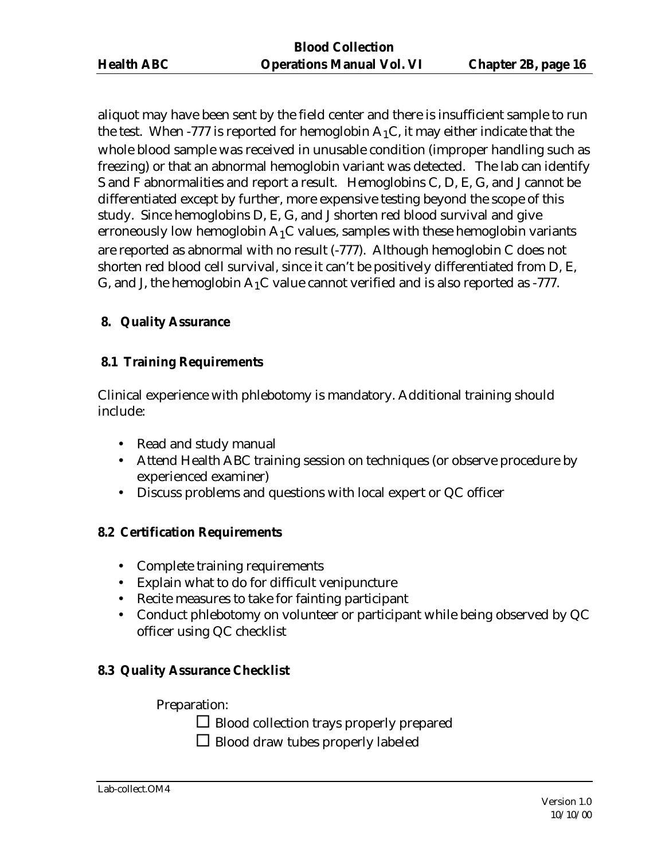aliquot may have been sent by the field center and there is insufficient sample to run the test. When -777 is reported for hemoglobin  $A_1C$ , it may either indicate that the whole blood sample was received in unusable condition (improper handling such as freezing) or that an abnormal hemoglobin variant was detected. The lab can identify S and F abnormalities and report a result. Hemoglobins C, D, E, G, and J cannot be differentiated except by further, more expensive testing beyond the scope of this study. Since hemoglobins D, E, G, and J shorten red blood survival and give erroneously low hemoglobin  $A_1C$  values, samples with these hemoglobin variants are reported as abnormal with no result (-777). Although hemoglobin C does not shorten red blood cell survival, since it can't be positively differentiated from D, E, G, and J, the hemoglobin  $A_1C$  value cannot verified and is also reported as -777.

### **8. Quality Assurance**

### **8.1 Training Requirements**

Clinical experience with phlebotomy is mandatory. Additional training should include:

- Read and study manual
- Attend Health ABC training session on techniques (or observe procedure by experienced examiner)
- Discuss problems and questions with local expert or QC officer

#### **8.2 Certification Requirements**

- Complete training requirements
- Explain what to do for difficult venipuncture
- Recite measures to take for fainting participant
- Conduct phlebotomy on volunteer or participant while being observed by QC officer using QC checklist

### **8.3 Quality Assurance Checklist**

Preparation:

 $\square$  Blood collection trays properly prepared

 $\Box$  Blood draw tubes properly labeled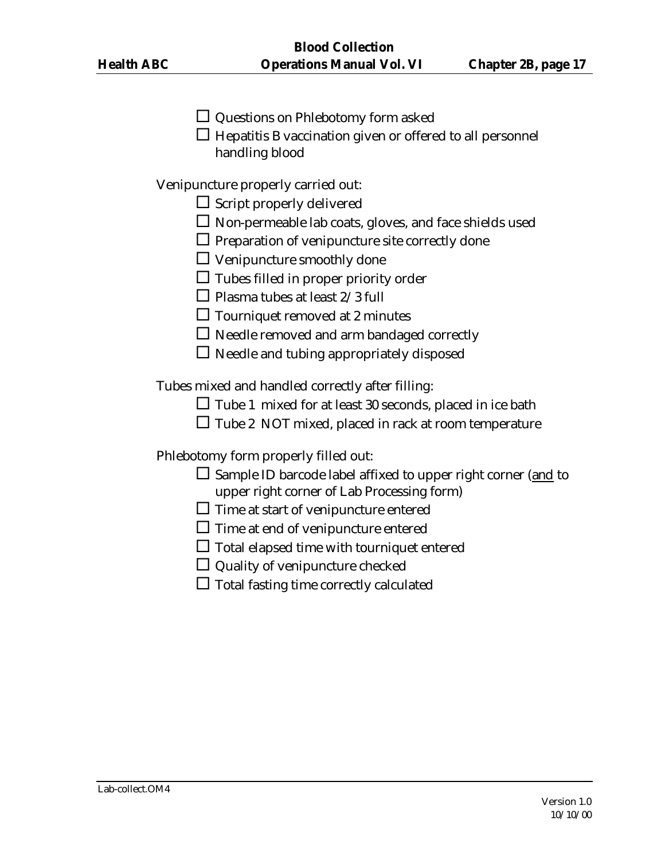- $\Box$  Questions on Phlebotomy form asked
- $\Box$  Hepatitis B vaccination given or offered to all personnel handling blood

Venipuncture properly carried out:

- $\square$  Script properly delivered
- $\square$  Non-permeable lab coats, gloves, and face shields used
- $\Box$  Preparation of venipuncture site correctly done
- $\Box$  Venipuncture smoothly done
- $\Box$  Tubes filled in proper priority order
- $\Box$  Plasma tubes at least 2/3 full
- $\Box$  Tourniquet removed at 2 minutes
- $\Box$  Needle removed and arm bandaged correctly
- $\square$  Needle and tubing appropriately disposed

Tubes mixed and handled correctly after filling:

- $\Box$  Tube 1 mixed for at least 30 seconds, placed in ice bath
- $\square$  Tube 2 NOT mixed, placed in rack at room temperature

Phlebotomy form properly filled out:

- $\square$  Sample ID barcode label affixed to upper right corner (and to upper right corner of Lab Processing form)
- $\square$  Time at start of venipuncture entered
- $\square$  Time at end of venipuncture entered
- $\square$  Total elapsed time with tourniquet entered
- $\Box$  Quality of venipuncture checked
- $\square$  Total fasting time correctly calculated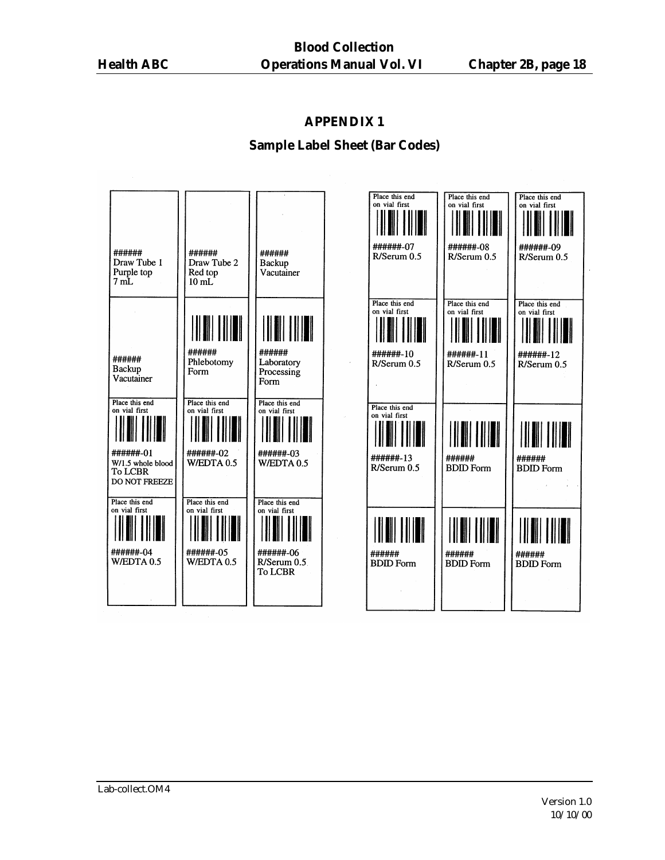### **Sample Label Sheet (Bar Codes)**

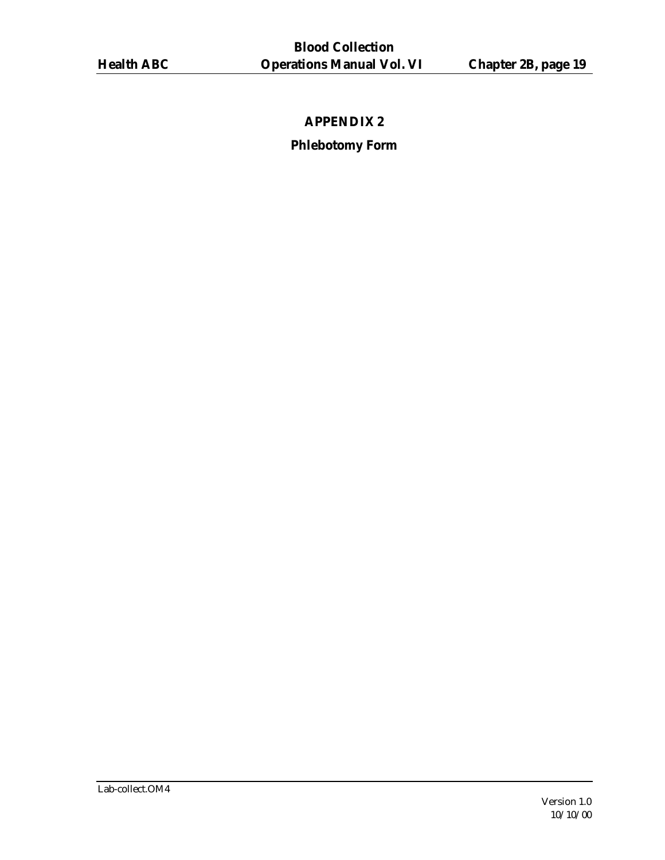# **Phlebotomy Form**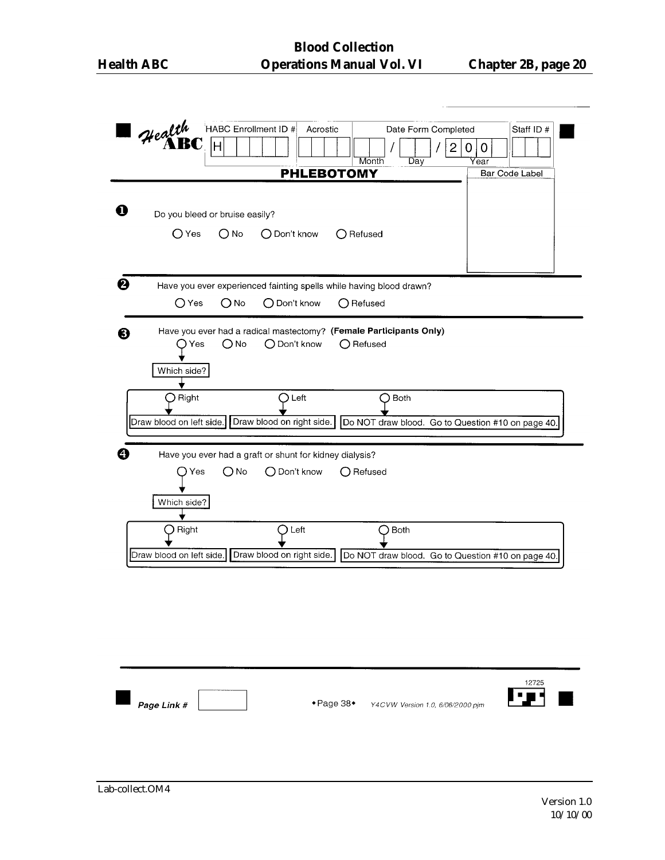| Health<br>HABC Enrollment ID #<br>Date Form Completed<br>Acrostic<br>H<br>$\overline{2}$<br>Month<br>Day<br><b>PHLEBOTOMY</b>                   | Staff ID #<br>$\mathbf 0$<br>0<br>Year<br><b>Bar Code Label</b> |
|-------------------------------------------------------------------------------------------------------------------------------------------------|-----------------------------------------------------------------|
| Ω<br>Do you bleed or bruise easily?<br>$\bigcirc$ Yes<br>◯ Don't know<br>$\bigcirc$ No<br>$\bigcirc$ Refused                                    |                                                                 |
| ❷<br>Have you ever experienced fainting spells while having blood drawn?<br>$\bigcirc$ Yes<br>$\bigcirc$ No<br>◯ Don't know<br>◯ Refused        |                                                                 |
| Have you ever had a radical mastectomy? (Female Participants Only)<br>❸<br>$\bigcirc$ No<br>◯ Don't know<br>◯ Refused<br>D Yes<br>Which side?   |                                                                 |
| Right<br>Left<br>Both<br>Draw blood on right side.<br>Do NOT draw blood. Go to Question #10 on page 40.<br>Draw blood on left side.             |                                                                 |
| Have you ever had a graft or shunt for kidney dialysis?<br>O No<br>◯ Don't know<br>O Refused<br>Yes<br>Which side?                              |                                                                 |
| Left<br><b>Both</b><br>Right<br>◯<br>Draw blood on right side.<br>Draw blood on left side.<br>Do NOT draw blood. Go to Question #10 on page 40. |                                                                 |
|                                                                                                                                                 |                                                                 |
| ◆ Page 38◆<br>Page Link #<br>Y4CVW Version 1.0, 6/06/2000 pim                                                                                   | 12725                                                           |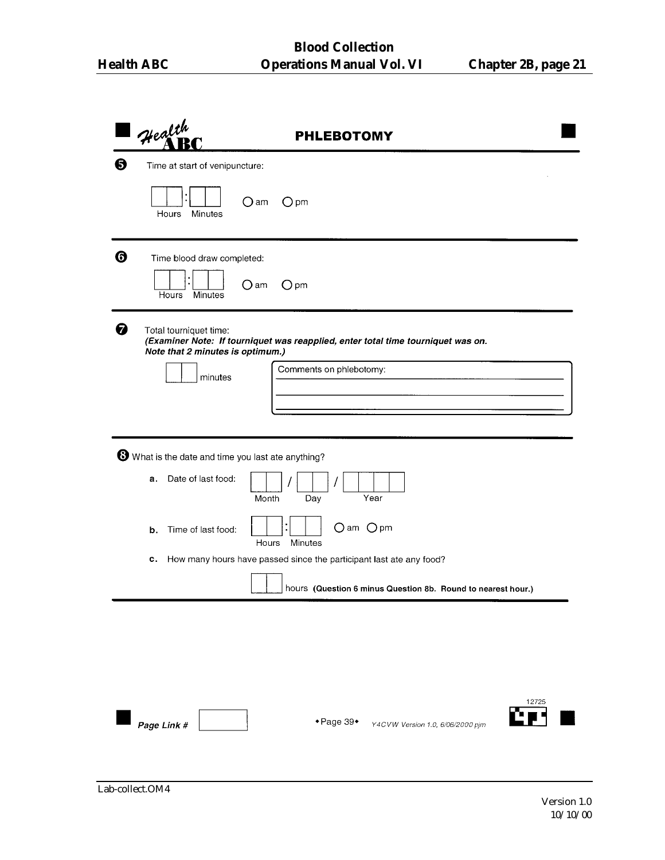|   | Health                                                            | <b>PHLEBOTOMY</b>                                                                |
|---|-------------------------------------------------------------------|----------------------------------------------------------------------------------|
| ❺ | Time at start of venipuncture:                                    |                                                                                  |
|   | Hours<br>Minutes                                                  | $O$ am<br>$O$ pm                                                                 |
| ❻ | Time blood draw completed:                                        |                                                                                  |
|   | Hours<br>Minutes                                                  | $\bigcirc$ am<br>$O$ pm                                                          |
| ❼ | Total tourniquet time:<br>Note that 2 minutes is optimum.)        | (Examiner Note: If tourniquet was reapplied, enter total time tourniquet was on. |
|   | minutes                                                           | Comments on phlebotomy:                                                          |
|   |                                                                   |                                                                                  |
|   | $\mathbf \Theta$ What is the date and time you last ate anything? |                                                                                  |
|   | Date of last food:<br>а.                                          | Year<br>Month<br>Day                                                             |
|   | Time of last food:<br>b.                                          | Oam Opm<br>Minutes<br>Hours                                                      |
|   | c.                                                                | How many hours have passed since the participant last ate any food?              |
|   |                                                                   | hours (Question 6 minus Question 8b. Round to nearest hour.)                     |
|   |                                                                   |                                                                                  |
|   |                                                                   |                                                                                  |
|   |                                                                   |                                                                                  |
|   | Page Link #                                                       | 12725<br>◆ Page 39◆<br>Y4CVW Version 1.0, 6/06/2000 pjm                          |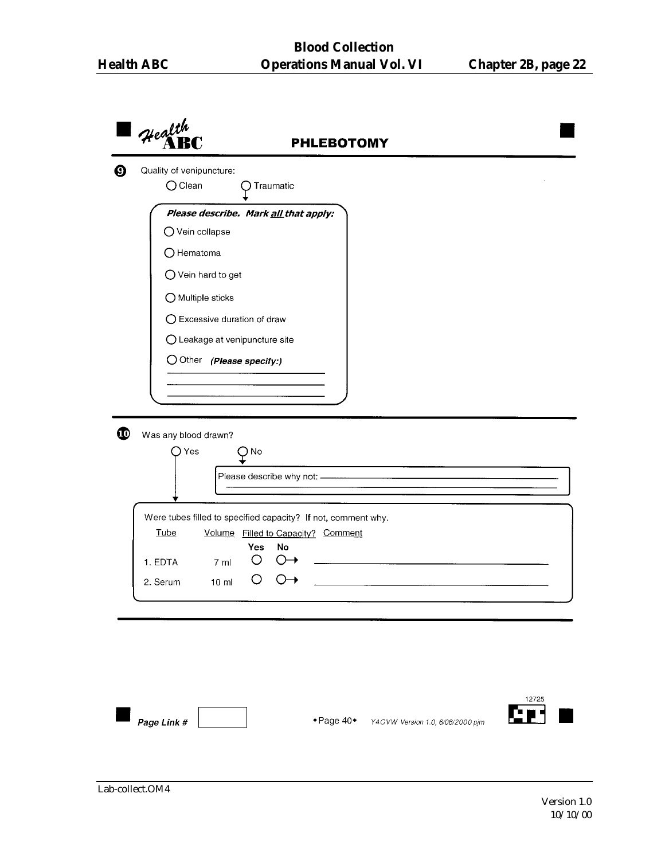|             | Health                                                        | <b>PHLEBOTOMY</b>                    |
|-------------|---------------------------------------------------------------|--------------------------------------|
|             | Quality of venipuncture:<br>$O$ Clean<br>Traumatic            |                                      |
|             | Please describe. Mark all that apply:                         |                                      |
|             | O Vein collapse                                               |                                      |
|             | O Hematoma                                                    |                                      |
|             | $\bigcirc$ Vein hard to get                                   |                                      |
|             | O Multiple sticks                                             |                                      |
|             | ○ Excessive duration of draw                                  |                                      |
|             | O Leakage at venipuncture site                                |                                      |
|             | $\bigcirc$ Other (Please specify:)                            |                                      |
|             |                                                               |                                      |
|             |                                                               |                                      |
|             | Yes<br>) No<br>Please describe why not: -                     |                                      |
|             |                                                               |                                      |
|             | Were tubes filled to specified capacity? If not, comment why. |                                      |
| Tube        | Volume Filled to Capacity? Comment                            |                                      |
| 1. EDTA     | No<br>Yes<br>O<br>()<br>7 ml                                  |                                      |
| 2. Serum    | 10 <sub>m</sub>                                               |                                      |
|             |                                                               |                                      |
|             |                                                               |                                      |
|             |                                                               |                                      |
|             |                                                               |                                      |
|             |                                                               |                                      |
| Page Link # |                                                               | 12725<br>$\bullet$ Page 40 $\bullet$ |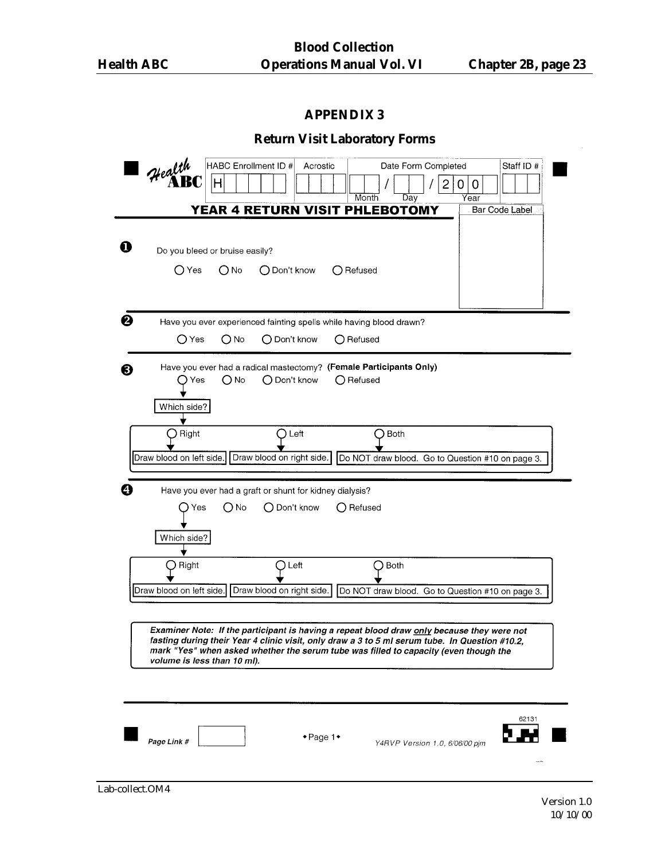|  |  | <b>Return Visit Laboratory Forms</b> |
|--|--|--------------------------------------|
|--|--|--------------------------------------|

|    | Health                         | HABC Enrollment ID # | Acrostic                                                                                                                                                                                     |                    | Date Form Completed                              | Staff ID #            |
|----|--------------------------------|----------------------|----------------------------------------------------------------------------------------------------------------------------------------------------------------------------------------------|--------------------|--------------------------------------------------|-----------------------|
|    |                                | н                    |                                                                                                                                                                                              |                    | 2<br>0<br>0                                      |                       |
|    |                                |                      | YEAR 4 RETURN VISIT PHLEBOTOMY                                                                                                                                                               | Month<br>Day       | Year                                             | <b>Bar Code Label</b> |
|    |                                |                      |                                                                                                                                                                                              |                    |                                                  |                       |
| D  | Do you bleed or bruise easily? |                      |                                                                                                                                                                                              |                    |                                                  |                       |
|    | ○ Yes                          | $\bigcirc$ No        | $\bigcap$ Don't know                                                                                                                                                                         | $\bigcap$ Refused  |                                                  |                       |
|    |                                |                      |                                                                                                                                                                                              |                    |                                                  |                       |
| ❷  |                                |                      | Have you ever experienced fainting spells while having blood drawn?                                                                                                                          |                    |                                                  |                       |
|    | $\bigcirc$ Yes                 | () No                | ◯ Don't know                                                                                                                                                                                 | $\bigcap$ Refused  |                                                  |                       |
| 6) |                                |                      | Have you ever had a radical mastectomy? (Female Participants Only)                                                                                                                           |                    |                                                  |                       |
|    | )Yes                           | O No                 | $\bigcirc$ Don't know                                                                                                                                                                        | $\bigcirc$ Refused |                                                  |                       |
|    | Which side?                    |                      |                                                                                                                                                                                              |                    |                                                  |                       |
|    | Right                          |                      | Left                                                                                                                                                                                         | <b>Both</b><br>Э   |                                                  |                       |
|    | Draw blood on left side.       |                      | Draw blood on right side.                                                                                                                                                                    |                    | Do NOT draw blood. Go to Question #10 on page 3. |                       |
|    |                                |                      |                                                                                                                                                                                              |                    |                                                  |                       |
|    | Yes                            | O No                 | Have you ever had a graft or shunt for kidney dialysis?<br>◯ Don't know                                                                                                                      | $\bigcap$ Refused  |                                                  |                       |
|    |                                |                      |                                                                                                                                                                                              |                    |                                                  |                       |
|    | Which side?                    |                      |                                                                                                                                                                                              |                    |                                                  |                       |
|    | Right                          |                      | ) Left                                                                                                                                                                                       | Both               |                                                  |                       |
|    | Draw blood on left side.       |                      | Draw blood on right side.                                                                                                                                                                    |                    | Do NOT draw blood. Go to Question #10 on page 3. |                       |
|    |                                |                      |                                                                                                                                                                                              |                    |                                                  |                       |
|    |                                |                      | Examiner Note: If the participant is having a repeat blood draw only because they were not<br>fasting during their Year 4 clinic visit, only draw a 3 to 5 ml serum tube. In Question #10.2, |                    |                                                  |                       |
|    | volume is less than 10 ml).    |                      | mark "Yes" when asked whether the serum tube was filled to capacity (even though the                                                                                                         |                    |                                                  |                       |
|    |                                |                      |                                                                                                                                                                                              |                    |                                                  |                       |
|    |                                |                      |                                                                                                                                                                                              |                    |                                                  |                       |
|    |                                |                      | $\bullet$ Page 1 $\bullet$                                                                                                                                                                   |                    |                                                  | 62131                 |
|    | Page Link #                    |                      |                                                                                                                                                                                              |                    | Y4RVP Version 1.0, 6/06/00 pjm                   |                       |
|    |                                |                      |                                                                                                                                                                                              |                    |                                                  |                       |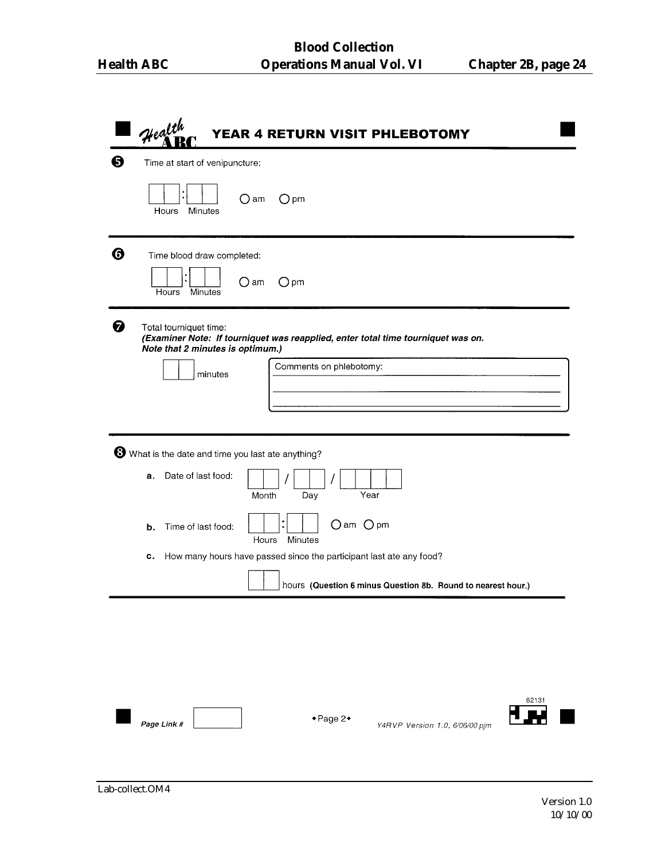|   | Health<br>YEAR 4 RETURN VISIT PHLEBOTOMY                                                                                                                                             |
|---|--------------------------------------------------------------------------------------------------------------------------------------------------------------------------------------|
| ❺ | Time at start of venipuncture:                                                                                                                                                       |
|   | $\bigcirc$ am<br>$O$ pm<br>Minutes<br>Hours                                                                                                                                          |
| ❻ | Time blood draw completed:<br>○ am<br>$O$ pm<br>Hours Minutes                                                                                                                        |
| ❸ | Total tourniquet time:<br>(Examiner Note: If tourniquet was reapplied, enter total time tourniquet was on.<br>Note that 2 minutes is optimum.)<br>Comments on phlebotomy:<br>minutes |
|   | What is the date and time you last ate anything?                                                                                                                                     |
|   | Date of last food:<br>a.<br>Year<br>Month<br>Day                                                                                                                                     |
|   | O am O pm<br>Time of last food:<br>b.<br>Minutes<br>Hours                                                                                                                            |
|   | How many hours have passed since the participant last ate any food?<br>С.                                                                                                            |
|   | hours (Question 6 minus Question 8b. Round to nearest hour.)                                                                                                                         |
|   |                                                                                                                                                                                      |
|   | 62131<br>+Page 2+<br>Page Link #<br>Y4RVP Version 1.0, 6/06/00 pjm                                                                                                                   |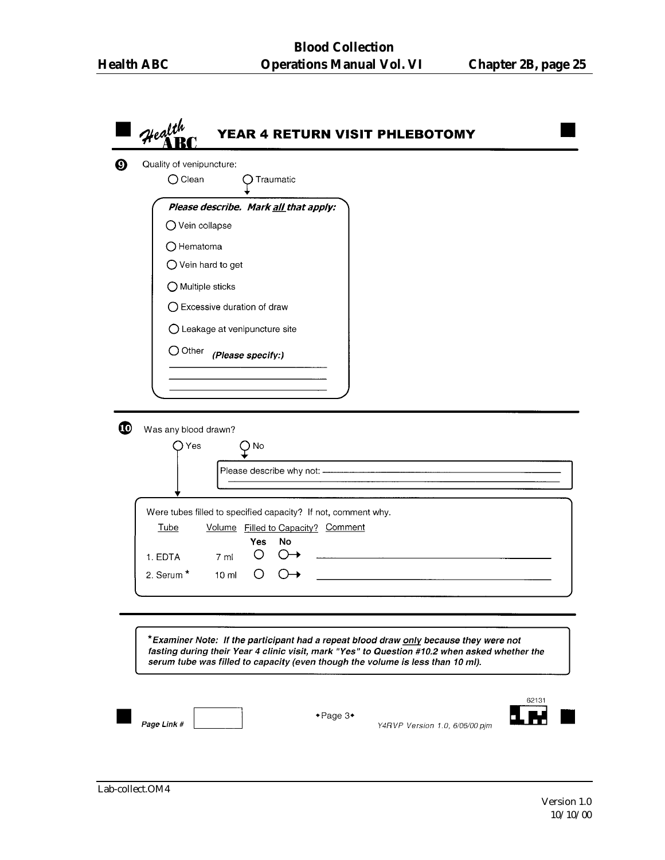| Health<br>YEAR 4 RETURN VISIT PHLEBOTOMY                                                                                                                                                                                                                                 |
|--------------------------------------------------------------------------------------------------------------------------------------------------------------------------------------------------------------------------------------------------------------------------|
| Quality of venipuncture:<br>$\bigcirc$ Clean<br>Traumatic                                                                                                                                                                                                                |
| Please describe. Mark all that apply:<br>O Vein collapse                                                                                                                                                                                                                 |
| $\bigcirc$ Hematoma                                                                                                                                                                                                                                                      |
| $\bigcirc$ Vein hard to get                                                                                                                                                                                                                                              |
| O Multiple sticks                                                                                                                                                                                                                                                        |
| ○ Excessive duration of draw                                                                                                                                                                                                                                             |
| O Leakage at venipuncture site                                                                                                                                                                                                                                           |
| $\bigcirc$ Other<br>(Please specify:)                                                                                                                                                                                                                                    |
|                                                                                                                                                                                                                                                                          |
|                                                                                                                                                                                                                                                                          |
| Yes<br>) No                                                                                                                                                                                                                                                              |
| Please describe why not: -                                                                                                                                                                                                                                               |
| Were tubes filled to specified capacity? If not, comment why.<br>Volume Filled to Capacity? Comment<br>Tube                                                                                                                                                              |
| No<br><b>Yes</b><br>1. EDTA<br>7 <sub>m</sub>                                                                                                                                                                                                                            |
| 2. Serum <sup>*</sup><br>$\left( \right)$<br>10 <sub>m</sub>                                                                                                                                                                                                             |
|                                                                                                                                                                                                                                                                          |
|                                                                                                                                                                                                                                                                          |
| *Examiner Note: If the participant had a repeat blood draw only because they were not<br>fasting during their Year 4 clinic visit, mark "Yes" to Question #10.2 when asked whether the<br>serum tube was filled to capacity (even though the volume is less than 10 ml). |
| 62131                                                                                                                                                                                                                                                                    |
| $\bullet$ Page 3 $\bullet$<br>Page Link #<br>Y4RVP Version 1.0, 6/06/00 pim                                                                                                                                                                                              |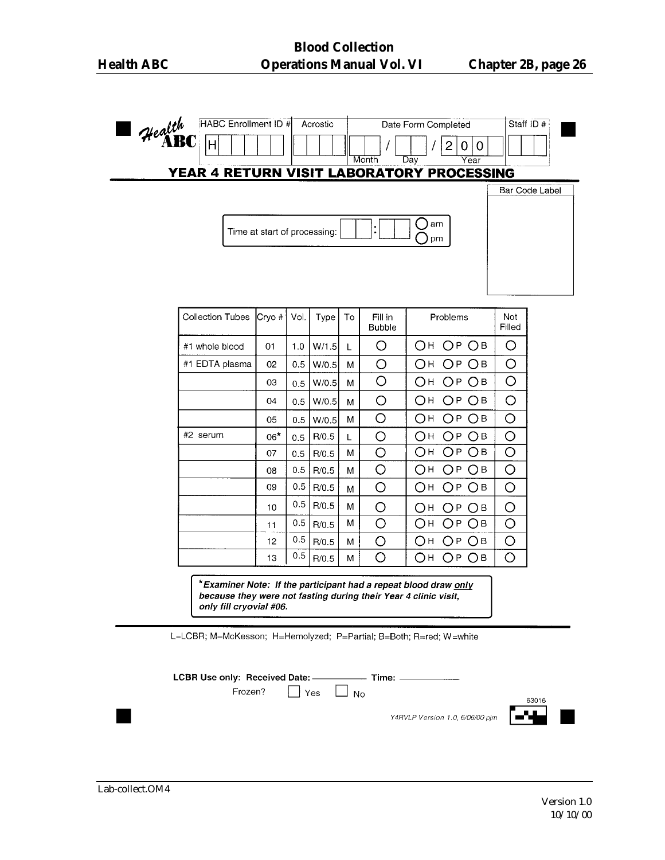|                         |                              |      |       |    |                          | YEAR 4 RETURN VISIT LABORATORY PROCESSING | Bar Code Label       |
|-------------------------|------------------------------|------|-------|----|--------------------------|-------------------------------------------|----------------------|
|                         |                              |      |       |    |                          |                                           |                      |
|                         | Time at start of processing: |      |       |    | t                        | ( )<br>am<br>pm                           |                      |
|                         |                              |      |       |    |                          |                                           |                      |
|                         |                              |      |       |    |                          |                                           |                      |
|                         |                              |      |       |    |                          |                                           |                      |
| <b>Collection Tubes</b> | Cryo #                       | Vol. | Type  | To | Fill in<br><b>Bubble</b> | Problems                                  | <b>Not</b><br>Filled |
| #1 whole blood          | 01                           | 1.0  | W/1.5 | L  | O                        | OH.<br>ОР ОВ                              | O                    |
| #1 EDTA plasma          | 02                           | 0.5  | W/0.5 | M  | O                        | Он∶<br>ОР ОВ                              | O                    |
|                         | 03                           | 0.5  | W/0.5 | M  | $\bigcirc$               | Oн<br>ОР ОВ                               | $\bigcirc$           |
|                         | 04                           | 0.5  | W/0.5 | M  | O                        | Ωн<br>ОР ОВ                               | O                    |
|                         | 05                           | 0.5  | W/0.5 | М  | O                        | Он<br>OPOB                                | O                    |
| #2 serum                | $06*$                        | 0.5  | R/0.5 | L  | O                        | Он<br>ОР ОВ                               | O                    |
|                         | 07                           | 0.5  | R/0.5 | м  | O                        | Он<br>ОР ОВ                               | Ō                    |
|                         | 08                           | 0.5  | R/0.5 | М  | O                        | ОР ОВ<br>Он                               | O                    |
|                         | 09                           | 0.5  | R/0.5 | М  | $\bigcirc$               | Oн<br>ОР ОВ                               | O                    |
|                         | 10                           | 0.5  | R/0.5 | M  | O                        | OPOB<br>Он                                | O                    |
|                         | 11                           | 0.5  | R/0.5 | М  | O                        | Он<br>ОР ОВ                               | O                    |
|                         | 12                           | 0.5  | R/0.5 | м  | O                        | Он<br>ОР ОВ                               | O                    |
|                         | 13                           | 0.5  | R/0.5 | M  | $\bigcirc$               | Он<br>ОР ОВ                               | O                    |

L=LCBR; M=McKesson; H=Hemolyzed; P=Partial; B=Both; R=red; W=white

LCBR Use only: Received Date: \_\_\_\_\_  $\overline{\phantom{a}}$  Time:  $\overline{\phantom{a}}$ 

Frozen?

 $\Box$  Yes  $\Box$  No

Y4RVLP Version 1.0, 6/06/00 pjm

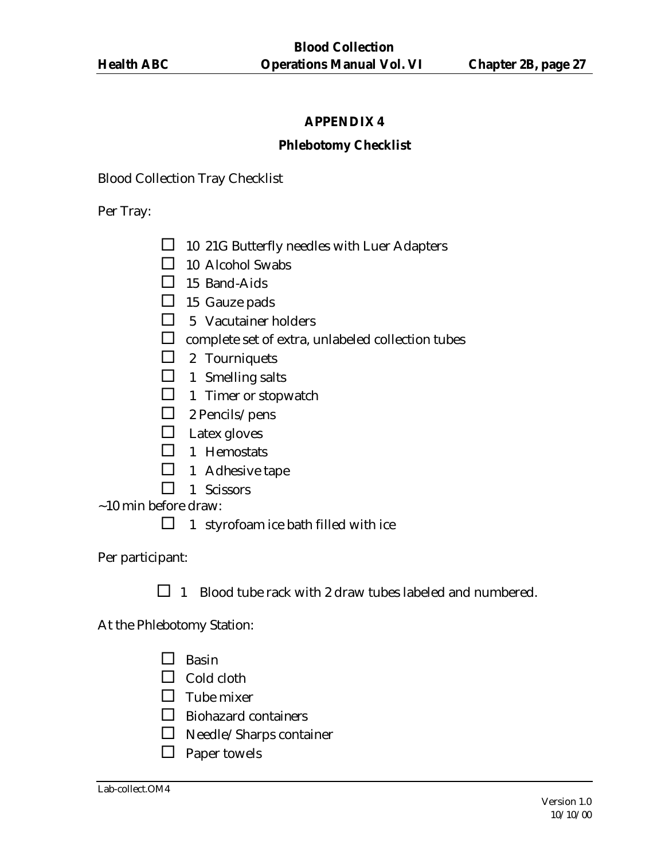#### **Phlebotomy Checklist**

Blood Collection Tray Checklist

Per Tray:

- $\Box$  10 21G Butterfly needles with Luer Adapters
- $\Box$  10 Alcohol Swabs
- $\Box$  15 Band-Aids
- $\Box$  15 Gauze pads
- $\Box$  5 Vacutainer holders
- $\square$  complete set of extra, unlabeled collection tubes
- $\Box$  2 Tourniquets
- $\Box$  1 Smelling salts
- $\Box$  1 Timer or stopwatch
- $\Box$  2 Pencils/pens
- $\Box$  Latex gloves
- $\Box$  1 Hemostats
- $\Box$  1 Adhesive tape
- $\Box$  1 Scissors
- ~10 min before draw:
	- $\Box$  1 styrofoam ice bath filled with ice

Per participant:

 $\Box$  1 Blood tube rack with 2 draw tubes labeled and numbered.

At the Phlebotomy Station:

- $\square$  Basin
- $\Box$  Cold cloth
- $\Box$  Tube mixer
- $\Box$  Biohazard containers
- $\square$  Needle/Sharps container
- $\Box$  Paper towels